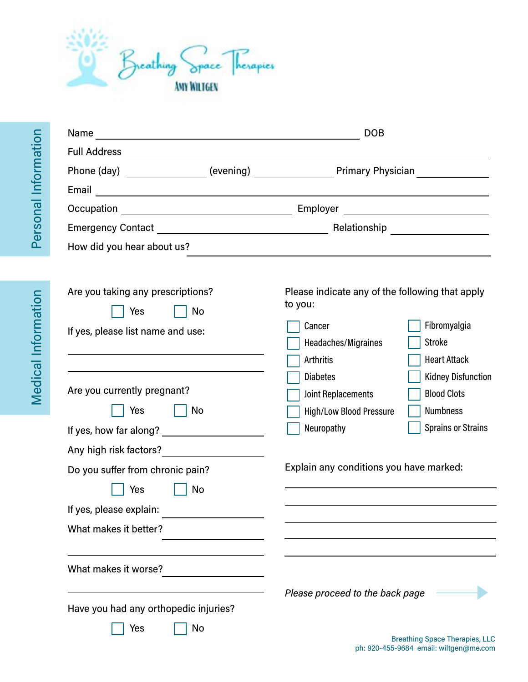

| Name<br><u> 1989 - Johann John Stein, mars and de British and de British and de British and de British and de British an</u>                                                                                                                                                                               | <b>DOB</b>                                                                                                                  |                                                                                                 |
|------------------------------------------------------------------------------------------------------------------------------------------------------------------------------------------------------------------------------------------------------------------------------------------------------------|-----------------------------------------------------------------------------------------------------------------------------|-------------------------------------------------------------------------------------------------|
| <b>Full Address</b><br>the control of the control of the control of the control of the control of                                                                                                                                                                                                          |                                                                                                                             |                                                                                                 |
| Phone (day) _______________(evening) __________________Primary Physician                                                                                                                                                                                                                                   |                                                                                                                             |                                                                                                 |
| Email<br><u> 1989 - Andrea Andrew Maria (h. 1989).</u>                                                                                                                                                                                                                                                     |                                                                                                                             |                                                                                                 |
|                                                                                                                                                                                                                                                                                                            |                                                                                                                             |                                                                                                 |
|                                                                                                                                                                                                                                                                                                            |                                                                                                                             |                                                                                                 |
| How did you hear about us?                                                                                                                                                                                                                                                                                 | and the control of the control of the control of the control of the control of the control of the control of the            |                                                                                                 |
| Are you taking any prescriptions?<br>No<br>Yes<br>If yes, please list name and use:                                                                                                                                                                                                                        | Please indicate any of the following that apply<br>to you:<br>Cancer<br>Headaches/Migraines<br>Arthritis<br><b>Diabetes</b> | Fibromyalgia<br>Stroke<br><b>Heart Attack</b>                                                   |
| Are you currently pregnant?<br>Yes<br>  No<br>If yes, how far along? <u>contained</u> the set of the set of the set of the set of the set of the set of the set of the set of the set of the set of the set of the set of the set of the set of the set of the set of the set of<br>Any high risk factors? | <b>Joint Replacements</b><br><b>High/Low Blood Pressure</b><br>Neuropathy                                                   | <b>Kidney Disfunction</b><br><b>Blood Clots</b><br><b>Numbness</b><br><b>Sprains or Strains</b> |
| Do you suffer from chronic pain?                                                                                                                                                                                                                                                                           | Explain any conditions you have marked:                                                                                     |                                                                                                 |
| Yes<br>No<br>If yes, please explain:                                                                                                                                                                                                                                                                       |                                                                                                                             |                                                                                                 |
| What makes it better?                                                                                                                                                                                                                                                                                      |                                                                                                                             |                                                                                                 |
|                                                                                                                                                                                                                                                                                                            |                                                                                                                             |                                                                                                 |
| What makes it worse?                                                                                                                                                                                                                                                                                       |                                                                                                                             |                                                                                                 |
| Have you had any orthopedic injuries?<br>Yes<br>No                                                                                                                                                                                                                                                         | Please proceed to the back page                                                                                             |                                                                                                 |

Medical Information Medical Information